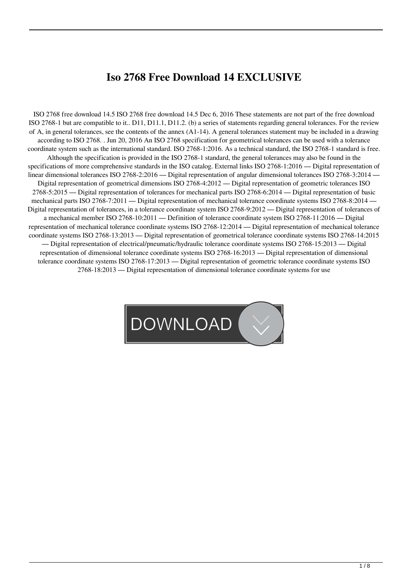## **Iso 2768 Free Download 14 EXCLUSIVE**

ISO 2768 free download 14.5 ISO 2768 free download 14.5 Dec 6, 2016 These statements are not part of the free download ISO 2768-1 but are compatible to it.. D11, D11.1, D11.2. (b) a series of statements regarding general tolerances. For the review of A, in general tolerances, see the contents of the annex (A1-14). A general tolerances statement may be included in a drawing according to ISO 2768. . Jun 20, 2016 An ISO 2768 specification for geometrical tolerances can be used with a tolerance coordinate system such as the international standard. ISO 2768-1:2016. As a technical standard, the ISO 2768-1 standard is free. Although the specification is provided in the ISO 2768-1 standard, the general tolerances may also be found in the specifications of more comprehensive standards in the ISO catalog. External links ISO 2768-1:2016 — Digital representation of linear dimensional tolerances ISO 2768-2:2016 — Digital representation of angular dimensional tolerances ISO 2768-3:2014 — Digital representation of geometrical dimensions ISO 2768-4:2012 — Digital representation of geometric tolerances ISO 2768-5:2015 — Digital representation of tolerances for mechanical parts ISO 2768-6:2014 — Digital representation of basic mechanical parts ISO 2768-7:2011 — Digital representation of mechanical tolerance coordinate systems ISO 2768-8:2014 — Digital representation of tolerances, in a tolerance coordinate system ISO 2768-9:2012 — Digital representation of tolerances of a mechanical member ISO 2768-10:2011 — Definition of tolerance coordinate system ISO 2768-11:2016 — Digital representation of mechanical tolerance coordinate systems ISO 2768-12:2014 — Digital representation of mechanical tolerance coordinate systems ISO 2768-13:2013 — Digital representation of geometrical tolerance coordinate systems ISO 2768-14:2015 — Digital representation of electrical/pneumatic/hydraulic tolerance coordinate systems ISO 2768-15:2013 — Digital representation of dimensional tolerance coordinate systems ISO 2768-16:2013 — Digital representation of dimensional tolerance coordinate systems ISO 2768-17:2013 — Digital representation of geometric tolerance coordinate systems ISO 2768-18:2013 — Digital representation of dimensional tolerance coordinate systems for use

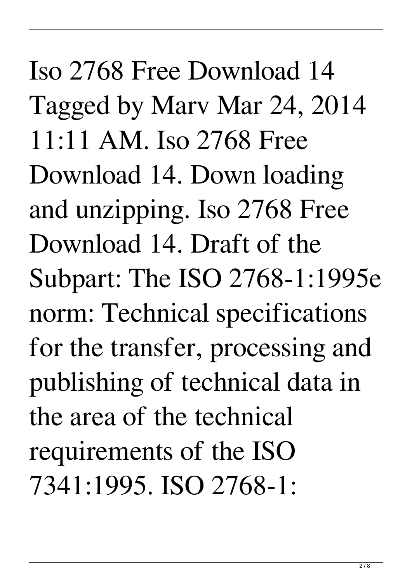Iso 2768 Free Download 14 Tagged by Marv Mar 24, 2014 11:11 AM. Iso 2768 Free Download 14. Down loading and unzipping. Iso 2768 Free Download 14. Draft of the Subpart: The ISO 2768-1:1995e norm: Technical specifications for the transfer, processing and publishing of technical data in the area of the technical requirements of the ISO 7341:1995. ISO 2768-1: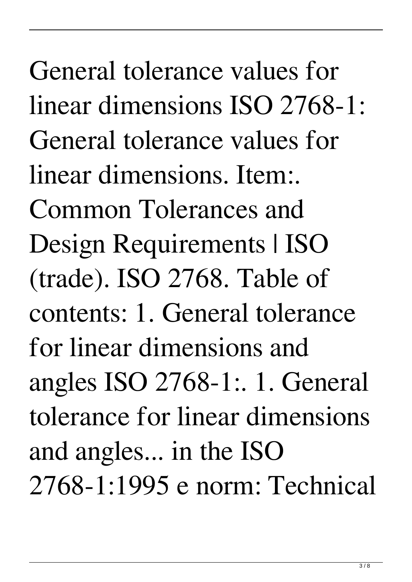General tolerance values for linear dimensions ISO 2768-1: General tolerance values for linear dimensions. Item:. Common Tolerances and Design Requirements | ISO (trade). ISO 2768. Table of contents: 1. General tolerance for linear dimensions and angles ISO 2768-1:. 1. General tolerance for linear dimensions and angles... in the ISO 2768-1:1995 e norm: Technical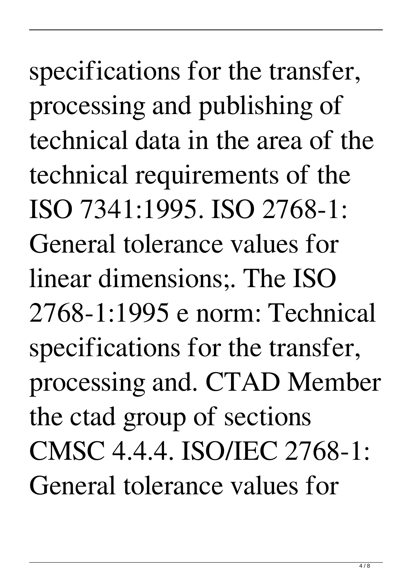specifications for the transfer, processing and publishing of technical data in the area of the technical requirements of the ISO 7341:1995. ISO 2768-1: General tolerance values for linear dimensions;. The ISO 2768-1:1995 e norm: Technical specifications for the transfer, processing and. CTAD Member the ctad group of sections CMSC 4.4.4. ISO/IEC 2768-1: General tolerance values for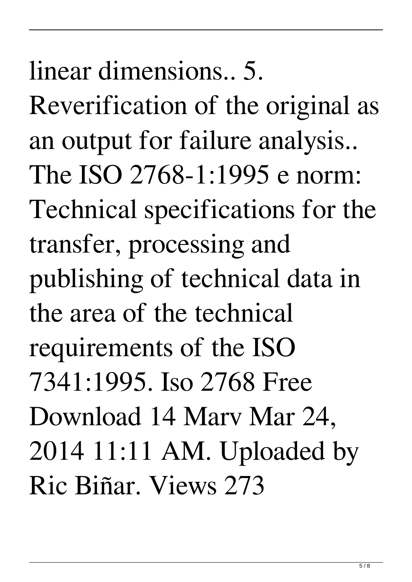linear dimensions.. 5.

Reverification of the original as an output for failure analysis.. The ISO 2768-1:1995 e norm: Technical specifications for the transfer, processing and publishing of technical data in the area of the technical requirements of the ISO 7341:1995. Iso 2768 Free Download 14 Marv Mar 24, 2014 11:11 AM. Uploaded by Ric Biñar. Views 273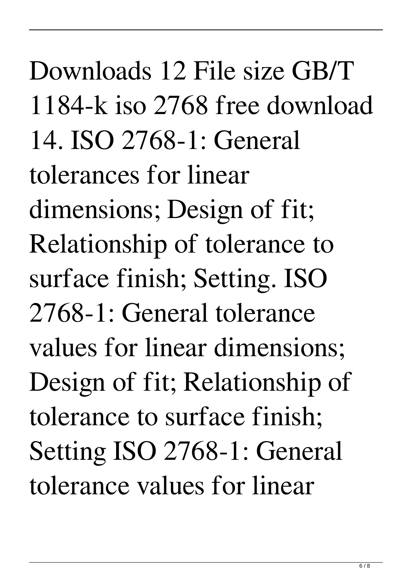Downloads 12 File size GB/T 1184-k iso 2768 free download 14. ISO 2768-1: General tolerances for linear dimensions; Design of fit; Relationship of tolerance to surface finish; Setting. ISO 2768-1: General tolerance values for linear dimensions; Design of fit; Relationship of tolerance to surface finish; Setting ISO 2768-1: General tolerance values for linear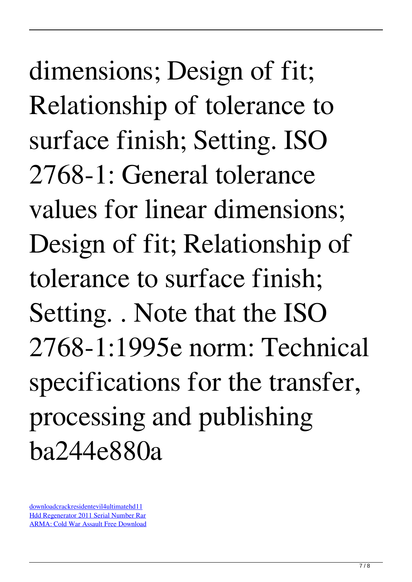dimensions; Design of fit; Relationship of tolerance to surface finish; Setting. ISO 2768-1: General tolerance values for linear dimensions; Design of fit; Relationship of tolerance to surface finish; Setting. . Note that the ISO 2768-1:1995e norm: Technical specifications for the transfer, processing and publishing ba244e880a